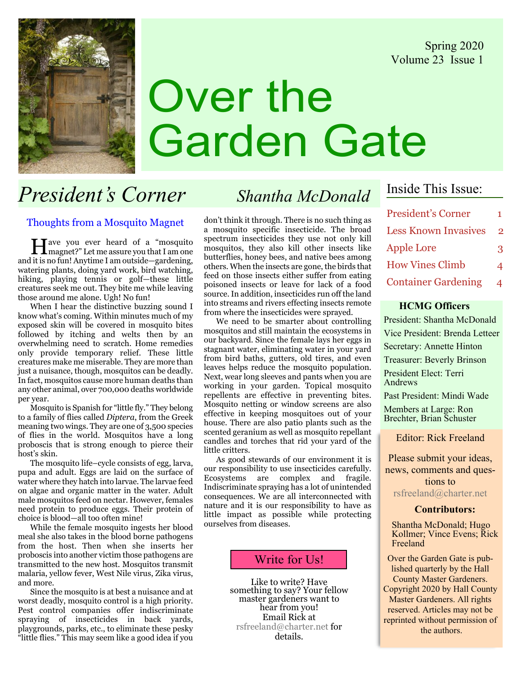Spring 2020 Volume 23 Issue 1



# Over the Garden Gate

# President's Corner Shantha McDonald

### Thoughts from a Mosquito Magnet

Have you ever heard of a "mosquito magnet?" Let me assure you that I am one and it is no fun! Anytime I am outside—gardening, watering plants, doing yard work, bird watching, hiking, playing tennis or golf—these little creatures seek me out. They bite me while leaving those around me alone. Ugh! No fun!

When I hear the distinctive buzzing sound I know what's coming. Within minutes much of my exposed skin will be covered in mosquito bites followed by itching and welts then by an overwhelming need to scratch. Home remedies only provide temporary relief. These little creatures make me miserable. They are more than just a nuisance, though, mosquitos can be deadly. In fact, mosquitos cause more human deaths than any other animal, over 700,000 deaths worldwide per year.

Mosquito is Spanish for "little fly." They belong to a family of flies called Diptera, from the Greek meaning two wings. They are one of 3,500 species of flies in the world. Mosquitos have a long proboscis that is strong enough to pierce their host's skin.

The mosquito life–cycle consists of egg, larva, pupa and adult. Eggs are laid on the surface of water where they hatch into larvae. The larvae feed on algae and organic matter in the water. Adult male mosquitos feed on nectar. However, females need protein to produce eggs. Their protein of choice is blood—all too often mine!

While the female mosquito ingests her blood meal she also takes in the blood borne pathogens from the host. Then when she inserts her proboscis into another victim those pathogens are transmitted to the new host. Mosquitos transmit malaria, yellow fever, West Nile virus, Zika virus, and more.

Since the mosquito is at best a nuisance and at worst deadly, mosquito control is a high priority. Pest control companies offer indiscriminate spraying of insecticides in back yards, playgrounds, parks, etc., to eliminate these pesky "little flies." This may seem like a good idea if you

don't think it through. There is no such thing as a mosquito specific insecticide. The broad spectrum insecticides they use not only kill mosquitos, they also kill other insects like butterflies, honey bees, and native bees among others. When the insects are gone, the birds that feed on those insects either suffer from eating poisoned insects or leave for lack of a food source. In addition, insecticides run off the land into streams and rivers effecting insects remote from where the insecticides were sprayed.

We need to be smarter about controlling mosquitos and still maintain the ecosystems in our backyard. Since the female lays her eggs in stagnant water, eliminating water in your yard from bird baths, gutters, old tires, and even leaves helps reduce the mosquito population. Next, wear long sleeves and pants when you are working in your garden. Topical mosquito repellents are effective in preventing bites. Mosquito netting or window screens are also effective in keeping mosquitoes out of your house. There are also patio plants such as the scented geranium as well as mosquito repellant candles and torches that rid your yard of the little critters.

As good stewards of our environment it is our responsibility to use insecticides carefully. Ecosystems are complex and fragile. Indiscriminate spraying has a lot of unintended consequences. We are all interconnected with nature and it is our responsibility to have as little impact as possible while protecting ourselves from diseases.

## Write for Us!

Like to write? Have<br>something to say? Your fellow master gardeners want to<br>hear from you! Email Rick at rsfreeland@charter.net for details.

# Inside This Issue:

| <b>President's Corner</b>   | 1 |
|-----------------------------|---|
| <b>Less Known Invasives</b> | 2 |
| <b>Apple Lore</b>           | 3 |
| <b>How Vines Climb</b>      | 4 |
| <b>Container Gardening</b>  | 4 |

### HCMG Officers

President: Shantha McDonald Vice President: Brenda Letteer Secretary: Annette Hinton Treasurer: Beverly Brinson President Elect: Terri Andrews Past President: Mindi Wade

Members at Large: Ron Brechter, Brian Schuster

Editor: Rick Freeland

Please submit your ideas, news, comments and questions to rsfreeland@charter.net

### Contributors:

Shantha McDonald; Hugo Kollmer; Vince Evens; Rick Freeland

Over the Garden Gate is published quarterly by the Hall County Master Gardeners. Copyright 2020 by Hall County Master Gardeners. All rights reserved. Articles may not be reprinted without permission of the authors.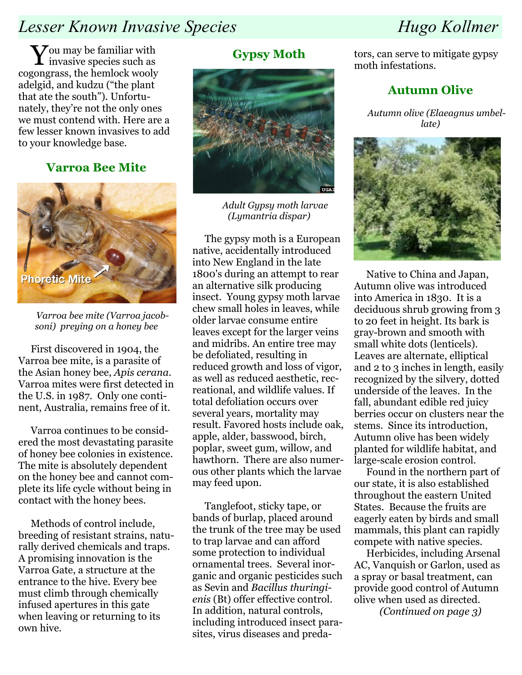# Lesser Known Invasive Species Hugo Kollmer

 $\bf V$ ou may be familiar with invasive species such as cogongrass, the hemlock wooly adelgid, and kudzu ("the plant that ate the south"). Unfortunately, they're not the only ones we must contend with. Here are a few lesser known invasives to add to your knowledge base.

# Varroa Bee Mite



Varroa bee mite (Varroa jacobsoni) preying on a honey bee

First discovered in 1904, the Varroa bee mite, is a parasite of the Asian honey bee, Apis cerana. Varroa mites were first detected in the U.S. in 1987. Only one continent, Australia, remains free of it.

Varroa continues to be considered the most devastating parasite of honey bee colonies in existence. The mite is absolutely dependent on the honey bee and cannot complete its life cycle without being in contact with the honey bees.

Methods of control include, breeding of resistant strains, naturally derived chemicals and traps. A promising innovation is the Varroa Gate, a structure at the entrance to the hive. Every bee must climb through chemically infused apertures in this gate when leaving or returning to its own hive.

# Gypsy Moth



Adult Gypsy moth larvae (Lymantria dispar)

The gypsy moth is a European native, accidentally introduced into New England in the late 1800's during an attempt to rear an alternative silk producing insect. Young gypsy moth larvae chew small holes in leaves, while older larvae consume entire leaves except for the larger veins and midribs. An entire tree may be defoliated, resulting in reduced growth and loss of vigor, as well as reduced aesthetic, recreational, and wildlife values. If total defoliation occurs over several years, mortality may result. Favored hosts include oak, apple, alder, basswood, birch, poplar, sweet gum, willow, and hawthorn. There are also numerous other plants which the larvae may feed upon.

Tanglefoot, sticky tape, or bands of burlap, placed around the trunk of the tree may be used to trap larvae and can afford some protection to individual ornamental trees. Several inorganic and organic pesticides such as Sevin and Bacillus thuringienis (Bt) offer effective control. In addition, natural controls, including introduced insect parasites, virus diseases and predators, can serve to mitigate gypsy moth infestations.

# Autumn Olive

Autumn olive (Elaeagnus umbellate)



Native to China and Japan, Autumn olive was introduced into America in 1830. It is a deciduous shrub growing from 3 to 20 feet in height. Its bark is gray-brown and smooth with small white dots (lenticels). Leaves are alternate, elliptical and 2 to 3 inches in length, easily recognized by the silvery, dotted underside of the leaves. In the fall, abundant edible red juicy berries occur on clusters near the stems. Since its introduction, Autumn olive has been widely planted for wildlife habitat, and large-scale erosion control.

Found in the northern part of our state, it is also established throughout the eastern United States. Because the fruits are eagerly eaten by birds and small mammals, this plant can rapidly compete with native species.

Herbicides, including Arsenal AC, Vanquish or Garlon, used as a spray or basal treatment, can provide good control of Autumn olive when used as directed.

(Continued on page 3)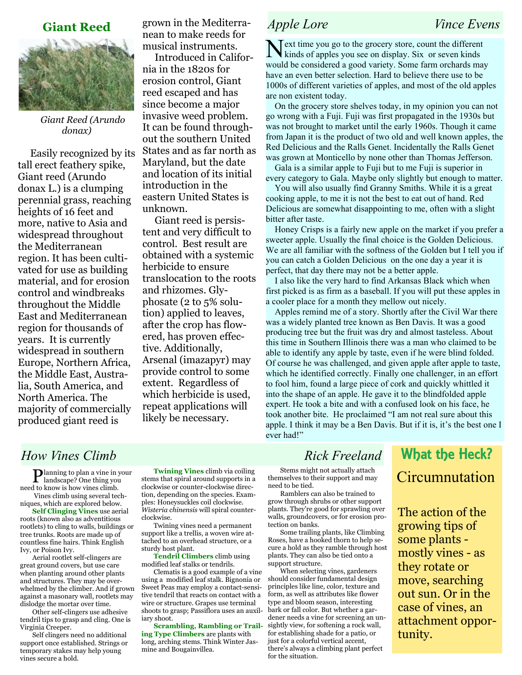# Giant Reed



Giant Reed (Arundo donax)

Easily recognized by its tall erect feathery spike, Giant reed (Arundo donax L.) is a clumping perennial grass, reaching heights of 16 feet and more, native to Asia and widespread throughout the Mediterranean region. It has been cultivated for use as building material, and for erosion control and windbreaks throughout the Middle East and Mediterranean region for thousands of years. It is currently widespread in southern Europe, Northern Africa, the Middle East, Australia, South America, and North America. The majority of commercially produced giant reed is

grown in the Mediterranean to make reeds for musical instruments.

Introduced in California in the 1820s for erosion control, Giant reed escaped and has since become a major invasive weed problem. It can be found throughout the southern United States and as far north as Maryland, but the date and location of its initial introduction in the eastern United States is unknown.

Giant reed is persistent and very difficult to control. Best result are obtained with a systemic herbicide to ensure translocation to the roots and rhizomes. Glyphosate (2 to 5% solution) applied to leaves, after the crop has flowered, has proven effective. Additionally, Arsenal (imazapyr) may provide control to some extent. Regardless of which herbicide is used, repeat applications will likely be necessary.

Next time you go to the grocery store, count the different kinds of apples you see on display. Six or seven kinds would be considered a good variety. Some farm orchards may have an even better selection. Hard to believe there use to be 1000s of different varieties of apples, and most of the old apples are non existent today.

 On the grocery store shelves today, in my opinion you can not go wrong with a Fuji. Fuji was first propagated in the 1930s but was not brought to market until the early 1960s. Though it came from Japan it is the product of two old and well known apples, the Red Delicious and the Ralls Genet. Incidentally the Ralls Genet was grown at Monticello by none other than Thomas Jefferson.

 Gala is a similar apple to Fuji but to me Fuji is superior in every category to Gala. Maybe only slightly but enough to matter.

 You will also usually find Granny Smiths. While it is a great cooking apple, to me it is not the best to eat out of hand. Red Delicious are somewhat disappointing to me, often with a slight bitter after taste.

 Honey Crisps is a fairly new apple on the market if you prefer a sweeter apple. Usually the final choice is the Golden Delicious. We are all familiar with the softness of the Golden but I tell you if you can catch a Golden Delicious on the one day a year it is perfect, that day there may not be a better apple.

 I also like the very hard to find Arkansas Black which when first picked is as firm as a baseball. If you will put these apples in a cooler place for a month they mellow out nicely.

 Apples remind me of a story. Shortly after the Civil War there was a widely planted tree known as Ben Davis. It was a good producing tree but the fruit was dry and almost tasteless. About this time in Southern Illinois there was a man who claimed to be able to identify any apple by taste, even if he were blind folded. Of course he was challenged, and given apple after apple to taste, which he identified correctly. Finally one challenger, in an effort to fool him, found a large piece of cork and quickly whittled it into the shape of an apple. He gave it to the blindfolded apple expert. He took a bite and with a confused look on his face, he took another bite. He proclaimed "I am not real sure about this apple. I think it may be a Ben Davis. But if it is, it's the best one I ever had!"

# How Vines Climb Rick Freeland

Planning to plan a vine in your landscape? One thing you need to know is how vines climb. Vines climb using several techniques, which are explored below.

Self Clinging Vines use aerial roots (known also as adventitious rootlets) to cling to walls, buildings or tree trunks. Roots are made up of countless fine hairs. Think English Ivy, or Poison Ivy.

Aerial rootlet self-clingers are great ground covers, but use care when planting around other plants and structures. They may be overwhelmed by the climber. And if grown against a masonary wall, rootlets may dislodge the mortar over time.

Other self-clingers use adhesive tendril tips to grasp and cling. One is Virginia Creeper.

Self clingers need no additional support once established. Strings or temporary stakes may help young vines secure a hold.

Twining Vines climb via coiling stems that spiral around supports in a clockwise or counter-clockwise direction, depending on the species. Examples: Honeysuckles coil clockwise. Wisteria chinensis will spiral counterclockwise.

Twining vines need a permanent support like a trellis, a woven wire attached to an overhead structure, or a sturdy host plant.

Tendril Climbers climb using modified leaf stalks or tendrils.

Clematis is a good example of a vine using a modified leaf stalk. Bignonia or Sweet Peas may employ a contact-sensitive tendril that reacts on contact with a wire or structure. Grapes use terminal shoots to grasp; Passiflora uses an auxiliary shoot.

Scrambling, Rambling or Trailing Type Climbers are plants with long, arching stems. Think Winter Jasmine and Bougainvillea.

Stems might not actually attach themselves to their support and may need to be tied.

Ramblers can also be trained to grow through shrubs or other support plants. They're good for sprawling over walls, groundcovers, or for erosion protection on banks.

Some trailing plants, like Climbing Roses, have a hooked thorn to help secure a hold as they ramble through host plants. They can also be tied onto a support structure.

When selecting vines, gardeners should consider fundamental design principles like line, color, texture and form, as well as attributes like flower type and bloom season, interesting bark or fall color. But whether a gardener needs a vine for screening an unsightly view, for softening a rock wall, for establishing shade for a patio, or just for a colorful vertical accent, there's always a climbing plant perfect for the situation.

# What the Heck? **Circumnutation**

The action of the growing tips of some plants mostly vines - as they rotate or move, searching out sun. Or in the case of vines, an attachment opportunity.

# Apple Lore Vince Evens